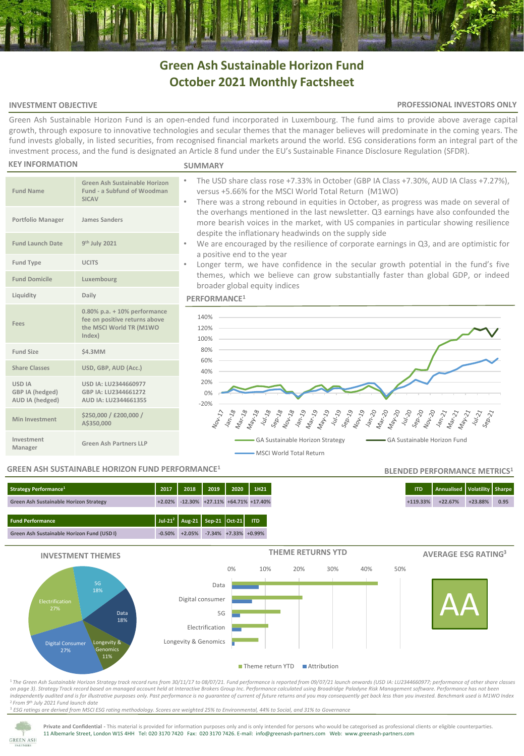# **Green Ash Sustainable Horizon Fund October 2021 Monthly Factsheet**

### **INVESTMENT OBJECTIVE**

#### **PROFESSIONAL INVESTORS ONLY**

Green Ash Sustainable Horizon Fund is an open-ended fund incorporated in Luxembourg. The fund aims to provide above average capital growth, through exposure to innovative technologies and secular themes that the manager believes will predominate in the coming years. The fund invests globally, in listed securities, from recognised financial markets around the world. ESG considerations form an integral part of the investment process, and the fund is designated an Article 8 fund under the EU's Sustainable Finance Disclosure Regulation (SFDR).

#### **KEY INFORMATION**

#### **SUMMARY**

| <b>Fund Name</b>                                    | <b>Green Ash Sustainable Horizon</b><br>Fund - a Subfund of Woodman<br><b>SICAV</b>                   | The USD share class rose +7.33% in October (GBP IA Class +7.30%, AUD IA Class +7.27%),<br>versus +5.66% for the MSCI World Total Return (M1WO)<br>There was a strong rebound in equities in October, as progress was made on several of<br>$\bullet$             |  |  |  |  |  |  |
|-----------------------------------------------------|-------------------------------------------------------------------------------------------------------|------------------------------------------------------------------------------------------------------------------------------------------------------------------------------------------------------------------------------------------------------------------|--|--|--|--|--|--|
| <b>Portfolio Manager</b>                            | James Sanders                                                                                         | the overhangs mentioned in the last newsletter. Q3 earnings have also confounded the<br>more bearish voices in the market, with US companies in particular showing resilience                                                                                    |  |  |  |  |  |  |
| <b>Fund Launch Date</b>                             | 9 <sup>th</sup> July 2021                                                                             | despite the inflationary headwinds on the supply side<br>We are encouraged by the resilience of corporate earnings in Q3, and are optimistic for<br>a positive end to the year                                                                                   |  |  |  |  |  |  |
| Fund Type                                           | <b>UCITS</b>                                                                                          | Longer term, we have confidence in the secular growth potential in the fund's five                                                                                                                                                                               |  |  |  |  |  |  |
| <b>Fund Domicile</b>                                | Luxembourg                                                                                            | themes, which we believe can grow substantially faster than global GDP, or indeed<br>broader global equity indices                                                                                                                                               |  |  |  |  |  |  |
| Liquidity                                           | Daily                                                                                                 | PERFORMANCE <sup>1</sup>                                                                                                                                                                                                                                         |  |  |  |  |  |  |
| Fees                                                | $0.80\%$ p.a. + 10% performance<br>fee on positive returns above<br>the MSCI World TR (M1WO<br>Index) | 140%<br>120%<br>100%                                                                                                                                                                                                                                             |  |  |  |  |  |  |
| <b>Fund Size</b>                                    | \$4.3MM                                                                                               | 80%                                                                                                                                                                                                                                                              |  |  |  |  |  |  |
| <b>Share Classes</b>                                | USD, GBP, AUD (Acc.)                                                                                  | 60%<br>40%                                                                                                                                                                                                                                                       |  |  |  |  |  |  |
| <b>USD IA</b><br>GBP IA (hedged)<br>AUD IA (hedged) | USD IA: LU2344660977<br>GBP IA: LU2344661272<br>AUD IA: LU2344661355                                  | 20%<br>0%<br>$-20%$                                                                                                                                                                                                                                              |  |  |  |  |  |  |
| <b>Min Investment</b>                               | \$250,000 / £200,000 /<br>A\$350,000                                                                  | $\frac{3}{10}$<br>$S_{\text{D-1g}}$<br>$\frac{N_{O_{\nu_{\chi_{g_{g}}}}}}{\sqrt{a_{n_{\chi_{g}}}}}$<br>$M_{\partial r_{\chi}}$ 19<br><b>DETAILS</b><br>May-18<br>Jam-20<br>Mar-20<br>$\frac{1}{4}h\frac{1}{2}g$<br>Mar-18<br>$\eta_{o_{\nu,\chi_{\mathcal{V}}}}$ |  |  |  |  |  |  |
| Investment<br>Manager                               | <b>Green Ash Partners LLP</b>                                                                         | GA Sustainable Horizon Fund<br>GA Sustainable Horizon Strategy<br>- MSCI World Total Return                                                                                                                                                                      |  |  |  |  |  |  |

#### **GREEN ASH SUSTAINABLE HORIZON FUND PERFORMANCE<sup>1</sup>**

## **Fund Performance Jul-21<sup>2</sup> Aug-21 Sep-21 Oct-21 ITD Strategy Performance<sup>1</sup> 2017 2018 2019 2020 1H21 ITD Annualised Volatility Sharpe Green Ash Sustainable Horizon Strategy +2.02% -12.30% +27.11% +64.71% +17.40% +119.33% +22.67% +23.88% 0.95**



<sup>1</sup>*The Green Ash Sustainable Horizon Strategy track record runs from 30/11/17 to 08/07/21. Fund performance is reported from 09/07/21 launch onwards (USD IA: LU2344660977; performance of other share classes on page 3)*. *Strategy Track record based on managed account held at Interactive Brokers Group Inc. Performance calculated using Broadridge Paladyne Risk Management software. Performance has not been independently audited and is for illustrative purposes only. Past performance is no guarantee of current of future returns and you may consequently get back less than you invested. Benchmark used is M1WO Index* <sup>2</sup>*From 9th July 2021 Fund launch date*

<sup>3</sup> *ESG ratings are derived from MSCI ESG rating methodology. Scores are weighted 25% to Environmental, 44% to Social, and 31% to Governance*



**Private and Confidential -** This material is provided for information purposes only and is only intended for persons who would be categorised as professional clients or eligible counterparties. 11 Albemarle Street, London W1S 4HH Tel: 020 3170 7420 Fax: 020 3170 7426. E-mail: info@greenash-partners.com Web: www.greenash-partners.com

**BLENDED PERFORMANCE METRICS<sup>1</sup>**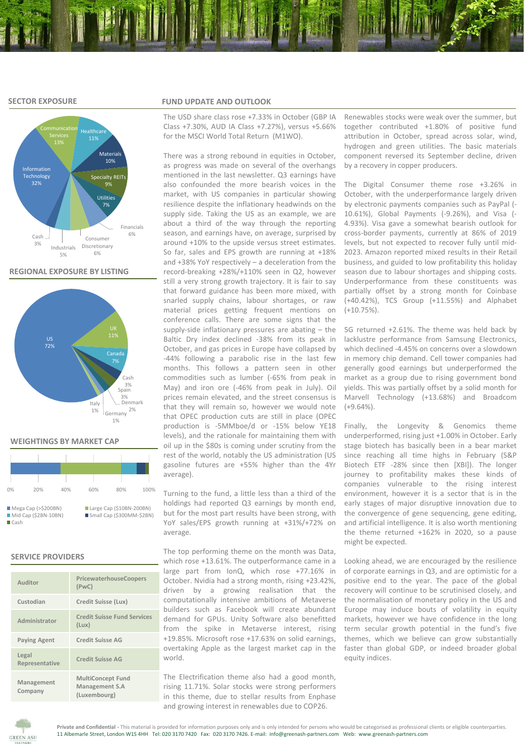#### **SECTOR EXPOSURE**



#### **REGIONAL EXPOSURE BY LISTING**



#### **WEIGHTINGS BY MARKET CAP**

| 0%            | 20%                                           | 40% | 60% | 80%                                                   | 100% |
|---------------|-----------------------------------------------|-----|-----|-------------------------------------------------------|------|
| <b>■</b> Cash | Mega Cap (> \$200BN)<br>$Mid Cap (52BN-10BN)$ |     |     | Large Cap (\$10BN-200BN)<br>Small Cap (\$300MM-\$2BN) |      |

#### **SERVICE PROVIDERS**

| Auditor                 | PricewaterhouseCoopers<br>(PwC)                            |  |  |  |  |  |
|-------------------------|------------------------------------------------------------|--|--|--|--|--|
| Custodian               | Credit Suisse (Lux)                                        |  |  |  |  |  |
| Administrator           | <b>Credit Suisse Fund Services</b><br>(Lux)                |  |  |  |  |  |
| <b>Paying Agent</b>     | <b>Credit Suisse AG</b>                                    |  |  |  |  |  |
| Legal<br>Representative | <b>Credit Suisse AG</b>                                    |  |  |  |  |  |
| Management<br>Company   | <b>MultiConcept Fund</b><br>Management S.A<br>(Luxembourg) |  |  |  |  |  |

#### **FUND UPDATE AND OUTLOOK**

The USD share class rose +7.33% in October (GBP IA Class +7.30%, AUD IA Class +7.27%), versus +5.66% for the MSCI World Total Return (M1WO).

There was a strong rebound in equities in October, as progress was made on several of the overhangs mentioned in the last newsletter. Q3 earnings have also confounded the more bearish voices in the market, with US companies in particular showing resilience despite the inflationary headwinds on the supply side. Taking the US as an example, we are about a third of the way through the reporting season, and earnings have, on average, surprised by around +10% to the upside versus street estimates. So far, sales and EPS growth are running at +18% and +38% YoY respectively – a deceleration from the record-breaking +28%/+110% seen in Q2, however still a very strong growth trajectory. It is fair to say that forward guidance has been more mixed, with snarled supply chains, labour shortages, or raw material prices getting frequent mentions on conference calls. There are some signs that the supply-side inflationary pressures are abating – the Baltic Dry index declined -38% from its peak in October, and gas prices in Europe have collapsed by -44% following a parabolic rise in the last few months. This follows a pattern seen in other commodities such as lumber (-65% from peak in May) and iron ore (-46% from peak in July). Oil prices remain elevated, and the street consensus is that they will remain so, however we would note that OPEC production cuts are still in place (OPEC production is -5MMboe/d or -15% below YE18 levels), and the rationale for maintaining them with oil up in the \$80s is coming under scrutiny from the rest of the world, notably the US administration (US gasoline futures are +55% higher than the 4Yr average).

Turning to the fund, a little less than a third of the holdings had reported Q3 earnings by month end, but for the most part results have been strong, with YoY sales/EPS growth running at +31%/+72% on average.

The top performing theme on the month was Data, which rose +13.61%. The outperformance came in a large part from IonQ, which rose +77.16% in October. Nvidia had a strong month, rising +23.42%, driven by a growing realisation that the computationally intensive ambitions of Metaverse builders such as Facebook will create abundant demand for GPUs. Unity Software also benefitted from the spike in Metaverse interest, rising +19.85%. Microsoft rose +17.63% on solid earnings, overtaking Apple as the largest market cap in the world.

The Electrification theme also had a good month, rising 11.71%. Solar stocks were strong performers in this theme, due to stellar results from Enphase and growing interest in renewables due to COP26.

Renewables stocks were weak over the summer, but together contributed +1.80% of positive fund attribution in October, spread across solar, wind, hydrogen and green utilities. The basic materials component reversed its September decline, driven by a recovery in copper producers.

The Digital Consumer theme rose +3.26% in October, with the underperformance largely driven by electronic payments companies such as PayPal (- 10.61%), Global Payments (-9.26%), and Visa (- 4.93%). Visa gave a somewhat bearish outlook for cross-border payments, currently at 86% of 2019 levels, but not expected to recover fully until mid-2023. Amazon reported mixed results in their Retail business, and guided to low profitability this holiday season due to labour shortages and shipping costs. Underperformance from these constituents was partially offset by a strong month for Coinbase (+40.42%), TCS Group (+11.55%) and Alphabet  $(+10.75\%)$ 

5G returned +2.61%. The theme was held back by lacklustre performance from Samsung Electronics, which declined -4.45% on concerns over a slowdown in memory chip demand. Cell tower companies had generally good earnings but underperformed the market as a group due to rising government bond yields. This was partially offset by a solid month for Marvell Technology (+13.68%) and Broadcom (+9.64%).

Finally, the Longevity & Genomics theme underperformed, rising just +1.00% in October. Early stage biotech has basically been in a bear market since reaching all time highs in February (S&P Biotech ETF -28% since then [XBI]). The longer journey to profitability makes these kinds of companies vulnerable to the rising interest environment, however it is a sector that is in the early stages of major disruptive innovation due to the convergence of gene sequencing, gene editing, and artificial intelligence. It is also worth mentioning the theme returned +162% in 2020, so a pause might be expected.

Looking ahead, we are encouraged by the resilience of corporate earnings in Q3, and are optimistic for a positive end to the year. The pace of the global recovery will continue to be scrutinised closely, and the normalisation of monetary policy in the US and Europe may induce bouts of volatility in equity markets, however we have confidence in the long term secular growth potential in the fund's five themes, which we believe can grow substantially faster than global GDP, or indeed broader global equity indices.